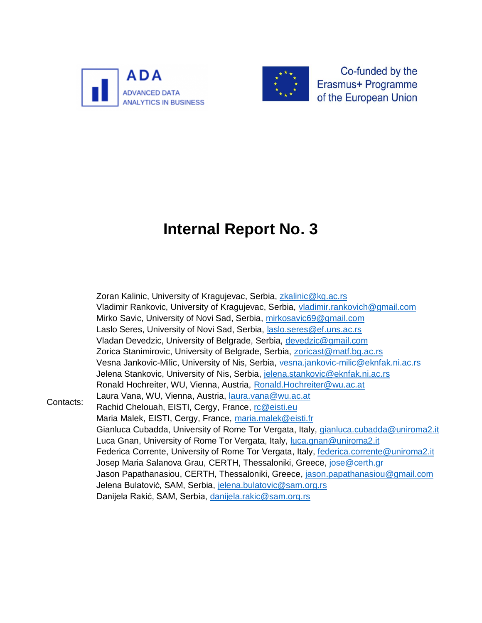



Co-funded by the Erasmus+ Programme of the European Union

# **Internal Report No. 3**

Contacts: Zoran Kalinic, University of Kragujevac, Serbia, [zkalinic@kg.ac.rs](mailto:zkalinic@kg.ac.rs) Vladimir Rankovic, University of Kragujevac, Serbia, [vladimir.rankovich@gmail.com](mailto:vladimir.rankovich@gmail.com) Mirko Savic, University of Novi Sad, Serbia, [mirkosavic69@gmail.com](mailto:mirkosavic69@gmail.com) Laslo Seres, University of Novi Sad, Serbia, [laslo.seres@ef.uns.ac.rs](mailto:laslo.seres@ef.uns.ac.rs) Vladan Devedzic, University of Belgrade, Serbia, [devedzic@gmail.com](mailto:devedzic@gmail.com) Zorica Stanimirovic, University of Belgrade, Serbia, [zoricast@matf.bg.ac.rs](mailto:zoricast@matf.bg.ac.rs) Vesna Jankovic-Milic, University of Nis, Serbia, [vesna.jankovic-milic@eknfak.ni.ac.rs](mailto:vesna.jankovic-milic@eknfak.ni.ac.rs) Jelena Stankovic, University of Nis, Serbia, [jelena.stankovic@eknfak.ni.ac.rs](mailto:jelena.stankovic@eknfak.ni.ac.rs) Ronald Hochreiter, WU, Vienna, Austria, [Ronald.Hochreiter@wu.ac.at](mailto:Ronald.Hochreiter@wu.ac.at) Laura Vana, WU, Vienna, Austria, [laura.vana@wu.ac.at](mailto:laura.vana@wu.ac.at) Rachid Chelouah, EISTI, Cergy, France, [rc@eisti.eu](mailto:rc@eisti.eu) Maria Malek, EISTI, Cergy, France, [maria.malek@eisti.fr](mailto:maria.malek@eisti.fr) Gianluca Cubadda, University of Rome Tor Vergata, Italy, [gianluca.cubadda@uniroma2.it](mailto:gianluca.cubadda@uniroma2.it) Luca Gnan, University of Rome Tor Vergata, Italy, [luca.gnan@uniroma2.it](mailto:luca.gnan@uniroma2.it) Federica Corrente, University of Rome Tor Vergata, Italy, [federica.corrente@uniroma2.it](mailto:federica.corrente@uniroma2.it) Josep Maria Salanova Grau, CERTH, Thessaloniki, Greece, [jose@certh.gr](mailto:jose@certh.gr) Jason Papathanasiou, CERTH, Thessaloniki, Greece, [jason.papathanasiou@gmail.com](mailto:jason.papathanasiou@gmail.com) Jelena Bulatović, SAM, Serbia, [jelena.bulatovic@sam.org.rs](mailto:jelena.bulatovic@sam.org.rs) Danijela Rakić, SAM, Serbia, [danijela.rakic@sam.org.rs](mailto:danijela.rakic@sam.org.rs)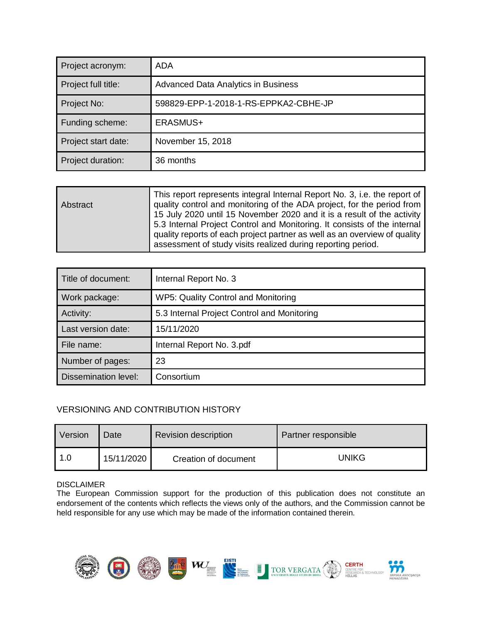| Project acronym:    | ADA                                   |
|---------------------|---------------------------------------|
| Project full title: | Advanced Data Analytics in Business   |
| Project No:         | 598829-EPP-1-2018-1-RS-EPPKA2-CBHE-JP |
| Funding scheme:     | ERASMUS+                              |
| Project start date: | November 15, 2018                     |
| Project duration:   | 36 months                             |

| <b>Abstract</b> | This report represents integral Internal Report No. 3, i.e. the report of<br>quality control and monitoring of the ADA project, for the period from<br>15 July 2020 until 15 November 2020 and it is a result of the activity<br>5.3 Internal Project Control and Monitoring. It consists of the internal<br>quality reports of each project partner as well as an overview of quality |
|-----------------|----------------------------------------------------------------------------------------------------------------------------------------------------------------------------------------------------------------------------------------------------------------------------------------------------------------------------------------------------------------------------------------|
|                 | assessment of study visits realized during reporting period.                                                                                                                                                                                                                                                                                                                           |

| Title of document:          | Internal Report No. 3                       |
|-----------------------------|---------------------------------------------|
| Work package:               | WP5: Quality Control and Monitoring         |
| Activity:                   | 5.3 Internal Project Control and Monitoring |
| Last version date:          | 15/11/2020                                  |
| File name:                  | Internal Report No. 3.pdf                   |
| Number of pages:            | 23                                          |
| <b>Dissemination level:</b> | Consortium                                  |

#### VERSIONING AND CONTRIBUTION HISTORY

| Version | Date       | <b>Revision description</b> | Partner responsible |
|---------|------------|-----------------------------|---------------------|
| 1.0     | 15/11/2020 | Creation of document        | UNIKG               |

#### DISCLAIMER

The European Commission support for the production of this publication does not constitute an endorsement of the contents which reflects the views only of the authors, and the Commission cannot be held responsible for any use which may be made of the information contained therein.

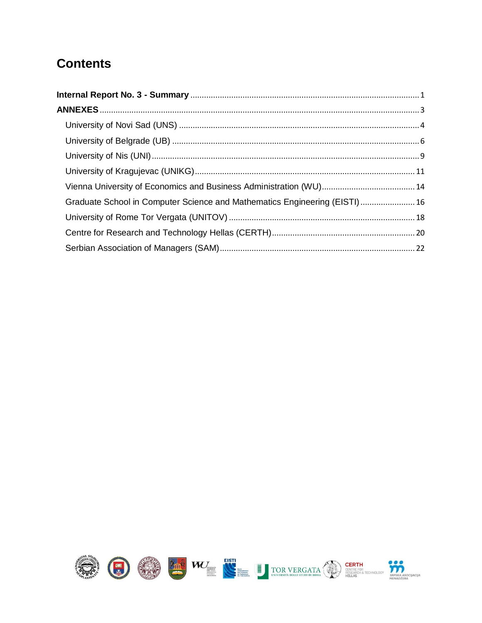#### **Contents**

| Graduate School in Computer Science and Mathematics Engineering (EISTI) 16 |  |
|----------------------------------------------------------------------------|--|
|                                                                            |  |
|                                                                            |  |
|                                                                            |  |

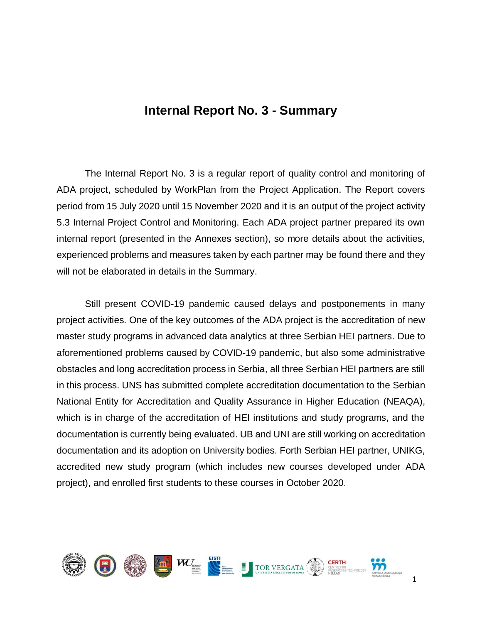#### **Internal Report No. 3 - Summary**

<span id="page-3-0"></span>The Internal Report No. 3 is a regular report of quality control and monitoring of ADA project, scheduled by WorkPlan from the Project Application. The Report covers period from 15 July 2020 until 15 November 2020 and it is an output of the project activity 5.3 Internal Project Control and Monitoring. Each ADA project partner prepared its own internal report (presented in the Annexes section), so more details about the activities, experienced problems and measures taken by each partner may be found there and they will not be elaborated in details in the Summary.

Still present COVID-19 pandemic caused delays and postponements in many project activities. One of the key outcomes of the ADA project is the accreditation of new master study programs in advanced data analytics at three Serbian HEI partners. Due to aforementioned problems caused by COVID-19 pandemic, but also some administrative obstacles and long accreditation process in Serbia, all three Serbian HEI partners are still in this process. UNS has submitted complete accreditation documentation to the Serbian National Entity for Accreditation and Quality Assurance in Higher Education (NEAQA), which is in charge of the accreditation of HEI institutions and study programs, and the documentation is currently being evaluated. UB and UNI are still working on accreditation documentation and its adoption on University bodies. Forth Serbian HEI partner, UNIKG, accredited new study program (which includes new courses developed under ADA project), and enrolled first students to these courses in October 2020.

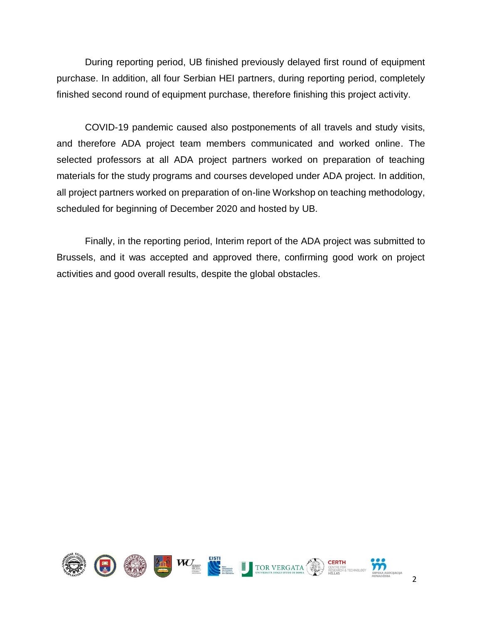During reporting period, UB finished previously delayed first round of equipment purchase. In addition, all four Serbian HEI partners, during reporting period, completely finished second round of equipment purchase, therefore finishing this project activity.

COVID-19 pandemic caused also postponements of all travels and study visits, and therefore ADA project team members communicated and worked online. The selected professors at all ADA project partners worked on preparation of teaching materials for the study programs and courses developed under ADA project. In addition, all project partners worked on preparation of on-line Workshop on teaching methodology, scheduled for beginning of December 2020 and hosted by UB.

Finally, in the reporting period, Interim report of the ADA project was submitted to Brussels, and it was accepted and approved there, confirming good work on project activities and good overall results, despite the global obstacles.

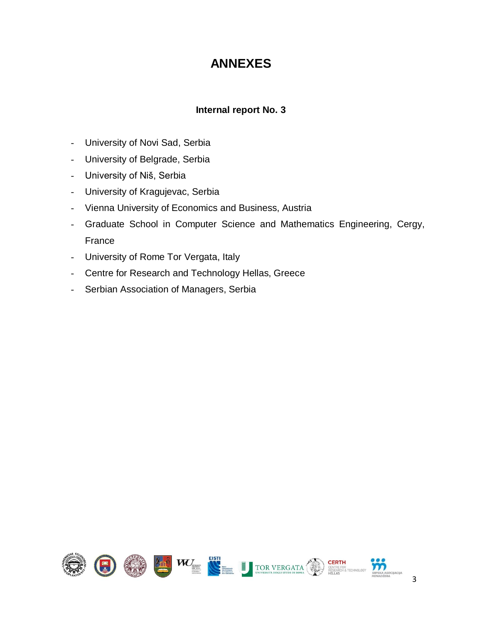#### **ANNEXES**

#### **Internal report No. 3**

- <span id="page-5-0"></span>- University of Novi Sad, Serbia
- University of Belgrade, Serbia
- University of Niš, Serbia
- University of Kragujevac, Serbia
- Vienna University of Economics and Business, Austria
- Graduate School in Computer Science and Mathematics Engineering, Cergy, France
- University of Rome Tor Vergata, Italy
- Centre for Research and Technology Hellas, Greece
- Serbian Association of Managers, Serbia

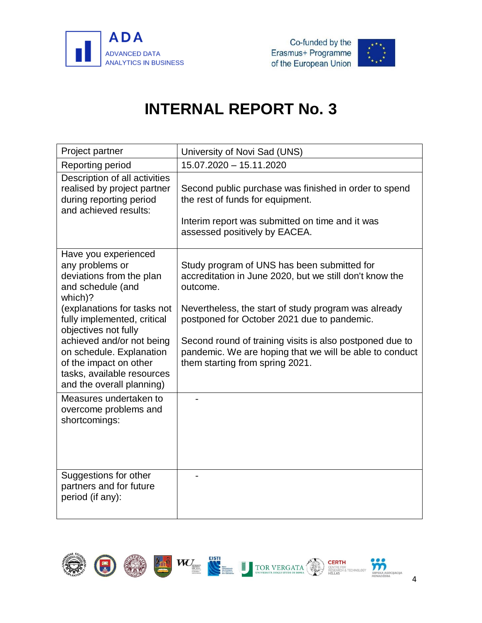



<span id="page-6-0"></span>

| Project partner                                                                                                                            | University of Novi Sad (UNS)                                                                                                                                                  |
|--------------------------------------------------------------------------------------------------------------------------------------------|-------------------------------------------------------------------------------------------------------------------------------------------------------------------------------|
| Reporting period                                                                                                                           | 15.07.2020 - 15.11.2020                                                                                                                                                       |
| Description of all activities<br>realised by project partner<br>during reporting period<br>and achieved results:                           | Second public purchase was finished in order to spend<br>the rest of funds for equipment.<br>Interim report was submitted on time and it was<br>assessed positively by EACEA. |
| Have you experienced<br>any problems or<br>deviations from the plan<br>and schedule (and<br>which)?                                        | Study program of UNS has been submitted for<br>accreditation in June 2020, but we still don't know the<br>outcome.                                                            |
| (explanations for tasks not<br>fully implemented, critical<br>objectives not fully                                                         | Nevertheless, the start of study program was already<br>postponed for October 2021 due to pandemic.                                                                           |
| achieved and/or not being<br>on schedule. Explanation<br>of the impact on other<br>tasks, available resources<br>and the overall planning) | Second round of training visits is also postponed due to<br>pandemic. We are hoping that we will be able to conduct<br>them starting from spring 2021.                        |
| Measures undertaken to<br>overcome problems and<br>shortcomings:                                                                           |                                                                                                                                                                               |
| Suggestions for other<br>partners and for future<br>period (if any):                                                                       |                                                                                                                                                                               |

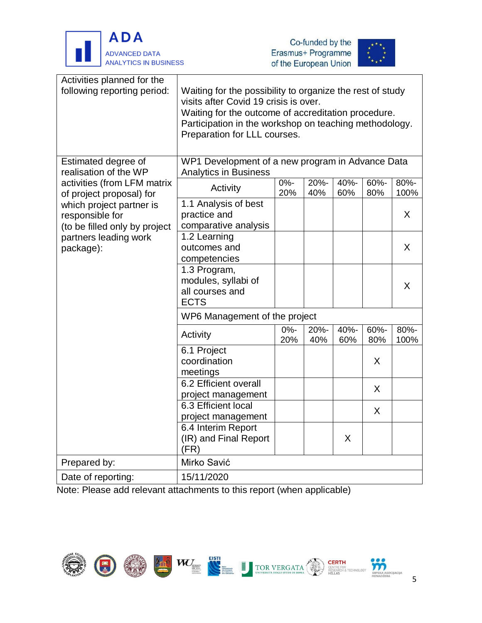





| Activities planned for the<br>following reporting period:                    | Waiting for the possibility to organize the rest of study<br>visits after Covid 19 crisis is over.<br>Waiting for the outcome of accreditation procedure.<br>Participation in the workshop on teaching methodology.<br>Preparation for LLL courses. |               |             |             |             |              |  |
|------------------------------------------------------------------------------|-----------------------------------------------------------------------------------------------------------------------------------------------------------------------------------------------------------------------------------------------------|---------------|-------------|-------------|-------------|--------------|--|
| Estimated degree of<br>realisation of the WP                                 | WP1 Development of a new program in Advance Data<br><b>Analytics in Business</b>                                                                                                                                                                    |               |             |             |             |              |  |
| activities (from LFM matrix<br>of project proposal) for                      | Activity                                                                                                                                                                                                                                            | $0% -$<br>20% | 20%-<br>40% | 40%-<br>60% | 60%-<br>80% | 80%-<br>100% |  |
| which project partner is<br>responsible for<br>(to be filled only by project | 1.1 Analysis of best<br>practice and<br>comparative analysis                                                                                                                                                                                        |               |             |             |             | X            |  |
| partners leading work<br>package):                                           | 1.2 Learning<br>outcomes and<br>competencies                                                                                                                                                                                                        |               |             |             |             | X            |  |
|                                                                              | 1.3 Program,<br>modules, syllabi of<br>all courses and<br><b>ECTS</b>                                                                                                                                                                               |               |             |             |             | X            |  |
|                                                                              | WP6 Management of the project                                                                                                                                                                                                                       |               |             |             |             |              |  |
|                                                                              | Activity                                                                                                                                                                                                                                            | $0% -$<br>20% | 20%-<br>40% | 40%-<br>60% | 60%-<br>80% | 80%-<br>100% |  |
|                                                                              | 6.1 Project<br>coordination<br>meetings                                                                                                                                                                                                             |               |             |             | X           |              |  |
|                                                                              | 6.2 Efficient overall<br>project management                                                                                                                                                                                                         |               |             |             | X           |              |  |
|                                                                              | 6.3 Efficient local<br>project management                                                                                                                                                                                                           |               |             |             | X           |              |  |
|                                                                              | 6.4 Interim Report<br>(IR) and Final Report<br>(FR)                                                                                                                                                                                                 |               |             | X           |             |              |  |
| Prepared by:                                                                 | Mirko Savić                                                                                                                                                                                                                                         |               |             |             |             |              |  |
| Date of reporting:                                                           | 15/11/2020                                                                                                                                                                                                                                          |               |             |             |             |              |  |

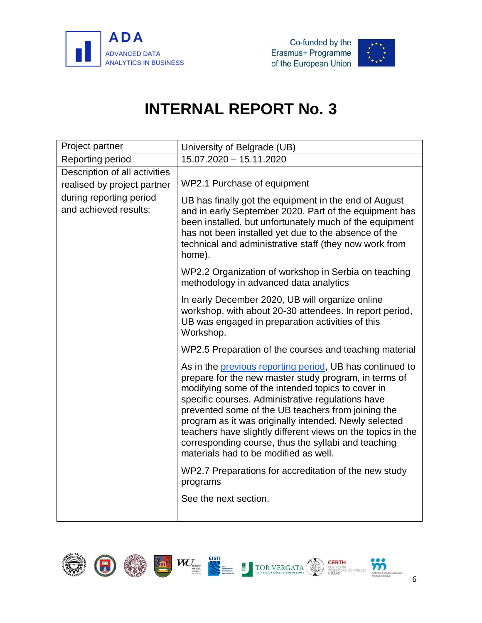



<span id="page-8-0"></span>

| Project partner                                              | University of Belgrade (UB)                                                                                                                                                                                                                                                                                                                                                                                                                                                                               |
|--------------------------------------------------------------|-----------------------------------------------------------------------------------------------------------------------------------------------------------------------------------------------------------------------------------------------------------------------------------------------------------------------------------------------------------------------------------------------------------------------------------------------------------------------------------------------------------|
| Reporting period                                             | 15.07.2020 - 15.11.2020                                                                                                                                                                                                                                                                                                                                                                                                                                                                                   |
| Description of all activities<br>realised by project partner | WP2.1 Purchase of equipment                                                                                                                                                                                                                                                                                                                                                                                                                                                                               |
| during reporting period<br>and achieved results:             | UB has finally got the equipment in the end of August<br>and in early September 2020. Part of the equipment has<br>been installed, but unfortunately much of the equipment<br>has not been installed yet due to the absence of the<br>technical and administrative staff (they now work from<br>home).                                                                                                                                                                                                    |
|                                                              | WP2.2 Organization of workshop in Serbia on teaching<br>methodology in advanced data analytics                                                                                                                                                                                                                                                                                                                                                                                                            |
|                                                              | In early December 2020, UB will organize online<br>workshop, with about 20-30 attendees. In report period,<br>UB was engaged in preparation activities of this<br>Workshop.                                                                                                                                                                                                                                                                                                                               |
|                                                              | WP2.5 Preparation of the courses and teaching material                                                                                                                                                                                                                                                                                                                                                                                                                                                    |
|                                                              | As in the previous reporting period, UB has continued to<br>prepare for the new master study program, in terms of<br>modifying some of the intended topics to cover in<br>specific courses. Administrative regulations have<br>prevented some of the UB teachers from joining the<br>program as it was originally intended. Newly selected<br>teachers have slightly different views on the topics in the<br>corresponding course, thus the syllabi and teaching<br>materials had to be modified as well. |
|                                                              | WP2.7 Preparations for accreditation of the new study<br>programs                                                                                                                                                                                                                                                                                                                                                                                                                                         |
|                                                              | See the next section.                                                                                                                                                                                                                                                                                                                                                                                                                                                                                     |

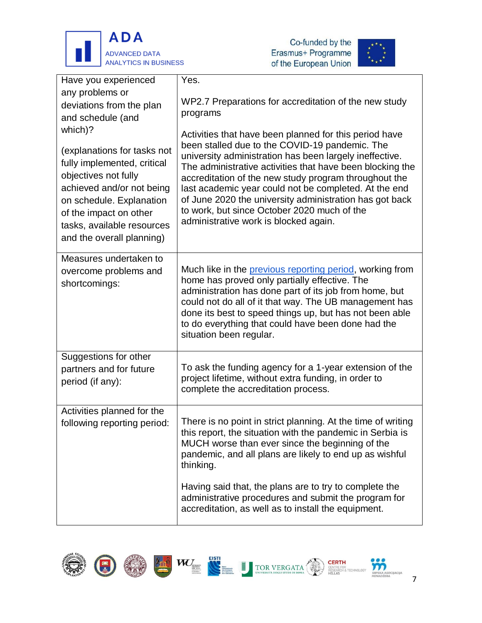





| Have you experienced<br>any problems or<br>deviations from the plan<br>and schedule (and<br>which)?<br>(explanations for tasks not<br>fully implemented, critical<br>objectives not fully<br>achieved and/or not being<br>on schedule. Explanation<br>of the impact on other<br>tasks, available resources<br>and the overall planning) | Yes.<br>WP2.7 Preparations for accreditation of the new study<br>programs<br>Activities that have been planned for this period have<br>been stalled due to the COVID-19 pandemic. The<br>university administration has been largely ineffective.<br>The administrative activities that have been blocking the<br>accreditation of the new study program throughout the<br>last academic year could not be completed. At the end<br>of June 2020 the university administration has got back<br>to work, but since October 2020 much of the<br>administrative work is blocked again. |
|-----------------------------------------------------------------------------------------------------------------------------------------------------------------------------------------------------------------------------------------------------------------------------------------------------------------------------------------|------------------------------------------------------------------------------------------------------------------------------------------------------------------------------------------------------------------------------------------------------------------------------------------------------------------------------------------------------------------------------------------------------------------------------------------------------------------------------------------------------------------------------------------------------------------------------------|
| Measures undertaken to<br>overcome problems and<br>shortcomings:                                                                                                                                                                                                                                                                        | Much like in the <b>previous reporting period</b> , working from<br>home has proved only partially effective. The<br>administration has done part of its job from home, but<br>could not do all of it that way. The UB management has<br>done its best to speed things up, but has not been able<br>to do everything that could have been done had the<br>situation been regular.                                                                                                                                                                                                  |
| Suggestions for other<br>partners and for future<br>period (if any):                                                                                                                                                                                                                                                                    | To ask the funding agency for a 1-year extension of the<br>project lifetime, without extra funding, in order to<br>complete the accreditation process.                                                                                                                                                                                                                                                                                                                                                                                                                             |
| Activities planned for the<br>following reporting period:                                                                                                                                                                                                                                                                               | There is no point in strict planning. At the time of writing<br>this report, the situation with the pandemic in Serbia is<br>MUCH worse than ever since the beginning of the<br>pandemic, and all plans are likely to end up as wishful<br>thinking.<br>Having said that, the plans are to try to complete the                                                                                                                                                                                                                                                                     |
|                                                                                                                                                                                                                                                                                                                                         | administrative procedures and submit the program for<br>accreditation, as well as to install the equipment.                                                                                                                                                                                                                                                                                                                                                                                                                                                                        |









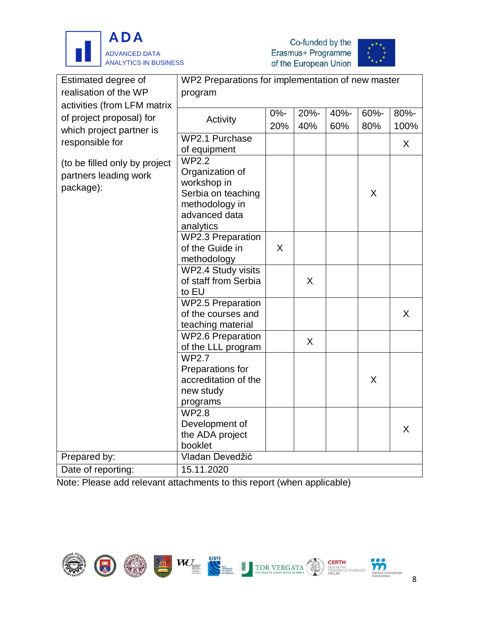





| Estimated degree of           | WP2 Preparations for implementation of new master |        |      |      |      |      |  |
|-------------------------------|---------------------------------------------------|--------|------|------|------|------|--|
| realisation of the WP         | program                                           |        |      |      |      |      |  |
| activities (from LFM matrix   |                                                   |        |      |      |      |      |  |
| of project proposal) for      | Activity                                          | $0% -$ | 20%- | 40%- | 60%- | 80%- |  |
| which project partner is      |                                                   | 20%    | 40%  | 60%  | 80%  | 100% |  |
|                               | WP2.1 Purchase                                    |        |      |      |      |      |  |
| responsible for               | of equipment                                      |        |      |      |      | X    |  |
| (to be filled only by project | <b>WP2.2</b>                                      |        |      |      |      |      |  |
|                               | Organization of                                   |        |      |      |      |      |  |
| partners leading work         | workshop in                                       |        |      |      |      |      |  |
| package):                     | Serbia on teaching                                |        |      |      | X    |      |  |
|                               | methodology in                                    |        |      |      |      |      |  |
|                               | advanced data                                     |        |      |      |      |      |  |
|                               | analytics                                         |        |      |      |      |      |  |
|                               | <b>WP2.3 Preparation</b>                          |        |      |      |      |      |  |
|                               | of the Guide in                                   | X      |      |      |      |      |  |
|                               | methodology                                       |        |      |      |      |      |  |
|                               | WP2.4 Study visits                                |        |      |      |      |      |  |
|                               | of staff from Serbia                              |        | X    |      |      |      |  |
|                               | to EU                                             |        |      |      |      |      |  |
|                               | <b>WP2.5 Preparation</b>                          |        |      |      |      |      |  |
|                               | of the courses and                                |        |      |      |      | X    |  |
|                               | teaching material                                 |        |      |      |      |      |  |
|                               | <b>WP2.6 Preparation</b>                          |        | X    |      |      |      |  |
|                               | of the LLL program                                |        |      |      |      |      |  |
|                               | <b>WP2.7</b>                                      |        |      |      |      |      |  |
|                               | Preparations for                                  |        |      |      |      |      |  |
|                               | accreditation of the                              |        |      |      | X    |      |  |
|                               | new study                                         |        |      |      |      |      |  |
|                               | programs                                          |        |      |      |      |      |  |
|                               | <b>WP2.8</b>                                      |        |      |      |      |      |  |
|                               | Development of                                    |        |      |      |      | X    |  |
|                               | the ADA project                                   |        |      |      |      |      |  |
|                               | booklet                                           |        |      |      |      |      |  |
| Prepared by:                  | Vladan Devedžić                                   |        |      |      |      |      |  |
| Date of reporting:            | 15.11.2020                                        |        |      |      |      |      |  |

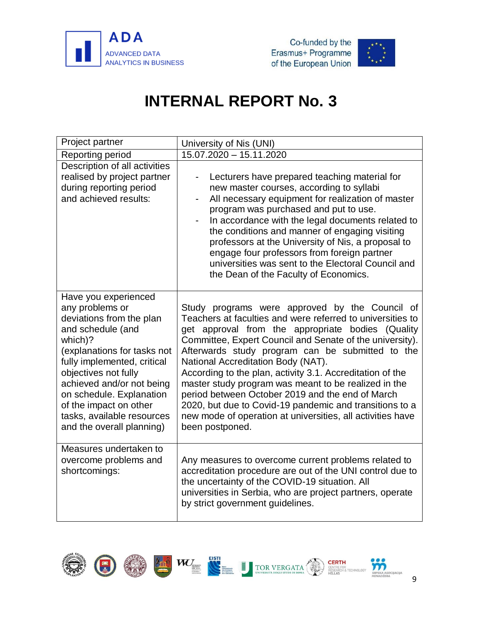



<span id="page-11-0"></span>

| Project partner                                                                                                                                                                                                                                                                                                                         | University of Nis (UNI)                                                                                                                                                                                                                                                                                                                                                                                                                                                                                                                                                                                                                      |
|-----------------------------------------------------------------------------------------------------------------------------------------------------------------------------------------------------------------------------------------------------------------------------------------------------------------------------------------|----------------------------------------------------------------------------------------------------------------------------------------------------------------------------------------------------------------------------------------------------------------------------------------------------------------------------------------------------------------------------------------------------------------------------------------------------------------------------------------------------------------------------------------------------------------------------------------------------------------------------------------------|
| Reporting period                                                                                                                                                                                                                                                                                                                        | 15.07.2020 - 15.11.2020                                                                                                                                                                                                                                                                                                                                                                                                                                                                                                                                                                                                                      |
| Description of all activities<br>realised by project partner<br>during reporting period<br>and achieved results:                                                                                                                                                                                                                        | Lecturers have prepared teaching material for<br>new master courses, according to syllabi<br>All necessary equipment for realization of master<br>$\blacksquare$<br>program was purchased and put to use.<br>In accordance with the legal documents related to<br>the conditions and manner of engaging visiting<br>professors at the University of Nis, a proposal to<br>engage four professors from foreign partner<br>universities was sent to the Electoral Council and<br>the Dean of the Faculty of Economics.                                                                                                                         |
| Have you experienced<br>any problems or<br>deviations from the plan<br>and schedule (and<br>which)?<br>(explanations for tasks not<br>fully implemented, critical<br>objectives not fully<br>achieved and/or not being<br>on schedule. Explanation<br>of the impact on other<br>tasks, available resources<br>and the overall planning) | Study programs were approved by the Council of<br>Teachers at faculties and were referred to universities to<br>get approval from the appropriate bodies (Quality<br>Committee, Expert Council and Senate of the university).<br>Afterwards study program can be submitted to the<br>National Accreditation Body (NAT).<br>According to the plan, activity 3.1. Accreditation of the<br>master study program was meant to be realized in the<br>period between October 2019 and the end of March<br>2020, but due to Covid-19 pandemic and transitions to a<br>new mode of operation at universities, all activities have<br>been postponed. |
| Measures undertaken to<br>overcome problems and<br>shortcomings:                                                                                                                                                                                                                                                                        | Any measures to overcome current problems related to<br>accreditation procedure are out of the UNI control due to<br>the uncertainty of the COVID-19 situation. All<br>universities in Serbia, who are project partners, operate<br>by strict government guidelines.                                                                                                                                                                                                                                                                                                                                                                         |

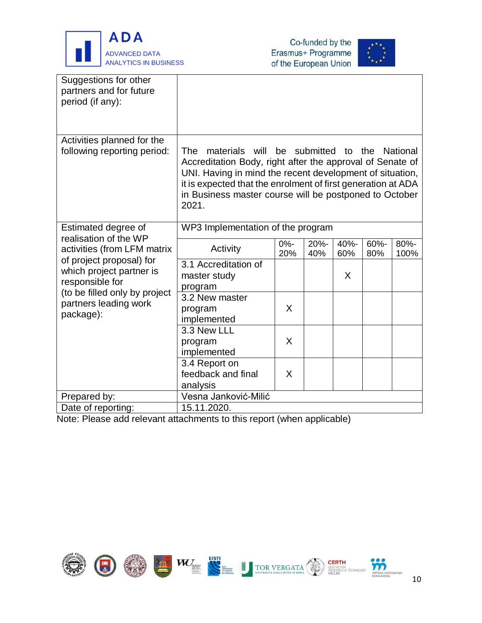





| Suggestions for other<br>partners and for future<br>period (if any):                                                                                                                                                          |                                                                                                                                                                                                                                                                                      |               |              |             |             |              |
|-------------------------------------------------------------------------------------------------------------------------------------------------------------------------------------------------------------------------------|--------------------------------------------------------------------------------------------------------------------------------------------------------------------------------------------------------------------------------------------------------------------------------------|---------------|--------------|-------------|-------------|--------------|
| Activities planned for the<br>following reporting period:                                                                                                                                                                     | will<br>The<br>materials<br>Accreditation Body, right after the approval of Senate of<br>UNI. Having in mind the recent development of situation,<br>it is expected that the enrolment of first generation at ADA<br>in Business master course will be postponed to October<br>2021. |               | be submitted | to the      |             | National     |
| Estimated degree of<br>realisation of the WP<br>activities (from LFM matrix<br>of project proposal) for<br>which project partner is<br>responsible for<br>(to be filled only by project<br>partners leading work<br>package): | WP3 Implementation of the program                                                                                                                                                                                                                                                    |               |              |             |             |              |
|                                                                                                                                                                                                                               | Activity                                                                                                                                                                                                                                                                             | $0% -$<br>20% | 20%-<br>40%  | 40%-<br>60% | 60%-<br>80% | 80%-<br>100% |
|                                                                                                                                                                                                                               | 3.1 Accreditation of<br>master study<br>program                                                                                                                                                                                                                                      |               |              | X           |             |              |
|                                                                                                                                                                                                                               | 3.2 New master<br>program<br>implemented                                                                                                                                                                                                                                             | X             |              |             |             |              |
|                                                                                                                                                                                                                               | 3.3 New LLL<br>program<br>implemented                                                                                                                                                                                                                                                | X             |              |             |             |              |
|                                                                                                                                                                                                                               | 3.4 Report on<br>feedback and final<br>analysis                                                                                                                                                                                                                                      | X             |              |             |             |              |
| Prepared by:                                                                                                                                                                                                                  | Vesna Janković-Milić                                                                                                                                                                                                                                                                 |               |              |             |             |              |
| Date of reporting:                                                                                                                                                                                                            | 15.11.2020.                                                                                                                                                                                                                                                                          |               |              |             |             |              |

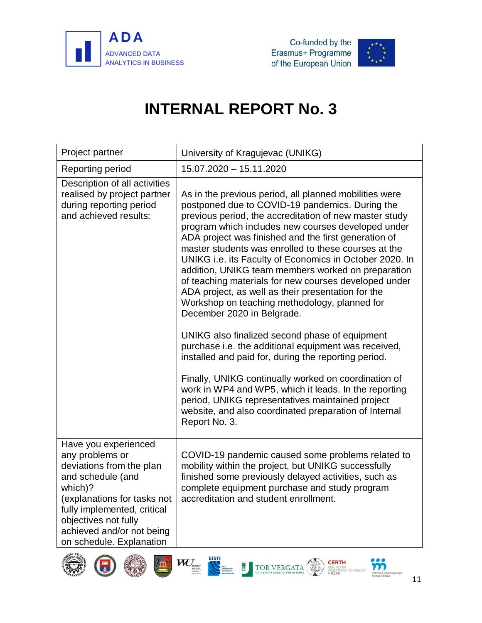



<span id="page-13-0"></span>

| Project partner                                                                                                                                                                                                                                    | University of Kragujevac (UNIKG)                                                                                                                                                                                                                                                                                                                                                                                                                                                                                                                                                                                                                                                                                                                                                                                                                                                                                                                                                                                                                                          |
|----------------------------------------------------------------------------------------------------------------------------------------------------------------------------------------------------------------------------------------------------|---------------------------------------------------------------------------------------------------------------------------------------------------------------------------------------------------------------------------------------------------------------------------------------------------------------------------------------------------------------------------------------------------------------------------------------------------------------------------------------------------------------------------------------------------------------------------------------------------------------------------------------------------------------------------------------------------------------------------------------------------------------------------------------------------------------------------------------------------------------------------------------------------------------------------------------------------------------------------------------------------------------------------------------------------------------------------|
| Reporting period                                                                                                                                                                                                                                   | 15.07.2020 - 15.11.2020                                                                                                                                                                                                                                                                                                                                                                                                                                                                                                                                                                                                                                                                                                                                                                                                                                                                                                                                                                                                                                                   |
| Description of all activities<br>realised by project partner<br>during reporting period<br>and achieved results:                                                                                                                                   | As in the previous period, all planned mobilities were<br>postponed due to COVID-19 pandemics. During the<br>previous period, the accreditation of new master study<br>program which includes new courses developed under<br>ADA project was finished and the first generation of<br>master students was enrolled to these courses at the<br>UNIKG i.e. its Faculty of Economics in October 2020. In<br>addition, UNIKG team members worked on preparation<br>of teaching materials for new courses developed under<br>ADA project, as well as their presentation for the<br>Workshop on teaching methodology, planned for<br>December 2020 in Belgrade.<br>UNIKG also finalized second phase of equipment<br>purchase i.e. the additional equipment was received,<br>installed and paid for, during the reporting period.<br>Finally, UNIKG continually worked on coordination of<br>work in WP4 and WP5, which it leads. In the reporting<br>period, UNIKG representatives maintained project<br>website, and also coordinated preparation of Internal<br>Report No. 3. |
| Have you experienced<br>any problems or<br>deviations from the plan<br>and schedule (and<br>which)?<br>(explanations for tasks not<br>fully implemented, critical<br>objectives not fully<br>achieved and/or not being<br>on schedule. Explanation | COVID-19 pandemic caused some problems related to<br>mobility within the project, but UNIKG successfully<br>finished some previously delayed activities, such as<br>complete equipment purchase and study program<br>accreditation and student enrollment.                                                                                                                                                                                                                                                                                                                                                                                                                                                                                                                                                                                                                                                                                                                                                                                                                |









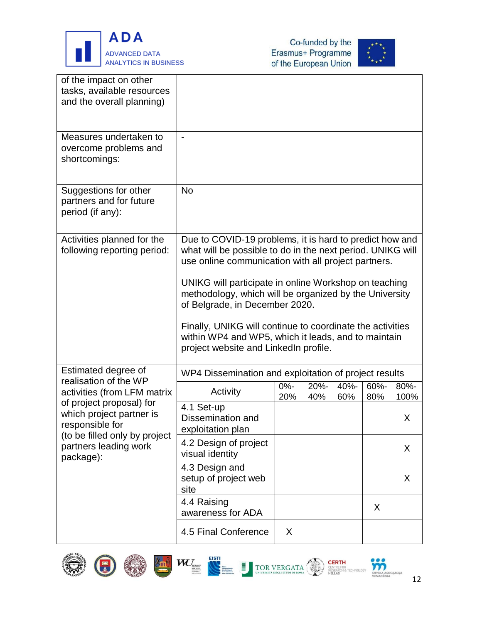





| of the impact on other<br>tasks, available resources<br>and the overall planning)                                                              |                                                                                                                                                                              |               |             |             |             |              |
|------------------------------------------------------------------------------------------------------------------------------------------------|------------------------------------------------------------------------------------------------------------------------------------------------------------------------------|---------------|-------------|-------------|-------------|--------------|
| Measures undertaken to<br>overcome problems and<br>shortcomings:                                                                               | $\overline{\phantom{a}}$                                                                                                                                                     |               |             |             |             |              |
| Suggestions for other<br>partners and for future<br>period (if any):                                                                           | <b>No</b>                                                                                                                                                                    |               |             |             |             |              |
| Activities planned for the<br>following reporting period:                                                                                      | Due to COVID-19 problems, it is hard to predict how and<br>what will be possible to do in the next period. UNIKG will<br>use online communication with all project partners. |               |             |             |             |              |
|                                                                                                                                                | UNIKG will participate in online Workshop on teaching<br>methodology, which will be organized by the University<br>of Belgrade, in December 2020.                            |               |             |             |             |              |
|                                                                                                                                                | Finally, UNIKG will continue to coordinate the activities<br>within WP4 and WP5, which it leads, and to maintain<br>project website and LinkedIn profile.                    |               |             |             |             |              |
| Estimated degree of                                                                                                                            | WP4 Dissemination and exploitation of project results                                                                                                                        |               |             |             |             |              |
| realisation of the WP<br>activities (from LFM matrix                                                                                           | Activity                                                                                                                                                                     | $0% -$<br>20% | 20%-<br>40% | 40%-<br>60% | 60%-<br>80% | 80%-<br>100% |
| of project proposal) for<br>which project partner is<br>responsible for<br>(to be filled only by project<br>partners leading work<br>package): | 4.1 Set-up<br>Dissemination and<br>exploitation plan                                                                                                                         |               |             |             |             | X            |
|                                                                                                                                                | 4.2 Design of project<br>visual identity                                                                                                                                     |               |             |             |             | X.           |
|                                                                                                                                                | 4.3 Design and<br>setup of project web<br>site                                                                                                                               |               |             |             |             | X            |
|                                                                                                                                                | 4.4 Raising<br>awareness for ADA                                                                                                                                             |               |             |             | X           |              |
|                                                                                                                                                | 4.5 Final Conference                                                                                                                                                         | X             |             |             |             |              |











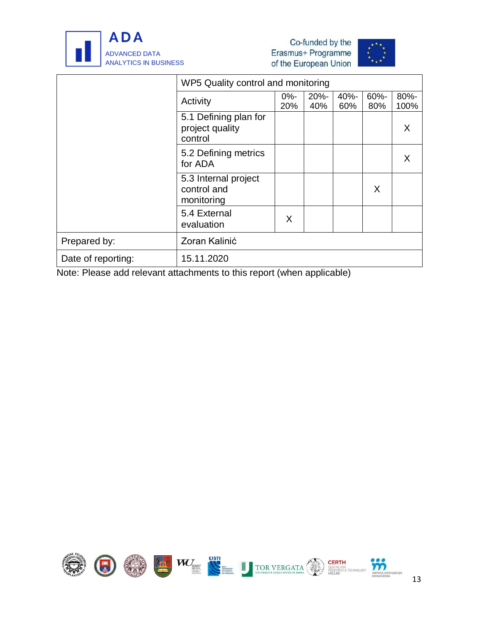





|                    | WP5 Quality control and monitoring                  |               |                |             |             |              |
|--------------------|-----------------------------------------------------|---------------|----------------|-------------|-------------|--------------|
|                    | Activity                                            | $0% -$<br>20% | $20% -$<br>40% | 40%-<br>60% | 60%-<br>80% | 80%-<br>100% |
|                    | 5.1 Defining plan for<br>project quality<br>control |               |                |             |             | X            |
|                    | 5.2 Defining metrics<br>for ADA                     |               |                |             |             | X            |
|                    | 5.3 Internal project<br>control and<br>monitoring   |               |                |             | X           |              |
|                    | 5.4 External<br>evaluation                          | X             |                |             |             |              |
| Prepared by:       | Zoran Kalinić                                       |               |                |             |             |              |
| Date of reporting: | 15.11.2020                                          |               |                |             |             |              |

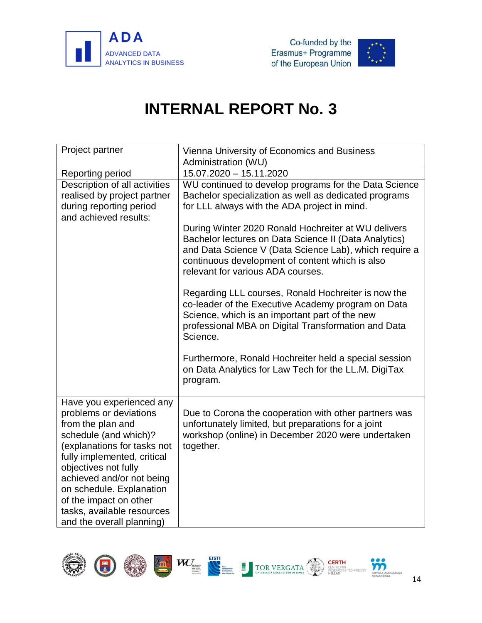



<span id="page-16-0"></span>

| Project partner                                                                                                                                                                                                                                                                                                                      | Vienna University of Economics and Business<br>Administration (WU)                                                                                                                                                                                             |
|--------------------------------------------------------------------------------------------------------------------------------------------------------------------------------------------------------------------------------------------------------------------------------------------------------------------------------------|----------------------------------------------------------------------------------------------------------------------------------------------------------------------------------------------------------------------------------------------------------------|
| Reporting period                                                                                                                                                                                                                                                                                                                     | 15.07.2020 - 15.11.2020                                                                                                                                                                                                                                        |
| Description of all activities<br>realised by project partner<br>during reporting period<br>and achieved results:                                                                                                                                                                                                                     | WU continued to develop programs for the Data Science<br>Bachelor specialization as well as dedicated programs<br>for LLL always with the ADA project in mind.                                                                                                 |
|                                                                                                                                                                                                                                                                                                                                      | During Winter 2020 Ronald Hochreiter at WU delivers<br>Bachelor lectures on Data Science II (Data Analytics)<br>and Data Science V (Data Science Lab), which require a<br>continuous development of content which is also<br>relevant for various ADA courses. |
|                                                                                                                                                                                                                                                                                                                                      | Regarding LLL courses, Ronald Hochreiter is now the<br>co-leader of the Executive Academy program on Data<br>Science, which is an important part of the new<br>professional MBA on Digital Transformation and Data<br>Science.                                 |
|                                                                                                                                                                                                                                                                                                                                      | Furthermore, Ronald Hochreiter held a special session<br>on Data Analytics for Law Tech for the LL.M. DigiTax<br>program.                                                                                                                                      |
| Have you experienced any<br>problems or deviations<br>from the plan and<br>schedule (and which)?<br>(explanations for tasks not<br>fully implemented, critical<br>objectives not fully<br>achieved and/or not being<br>on schedule. Explanation<br>of the impact on other<br>tasks, available resources<br>and the overall planning) | Due to Corona the cooperation with other partners was<br>unfortunately limited, but preparations for a joint<br>workshop (online) in December 2020 were undertaken<br>together.                                                                                |

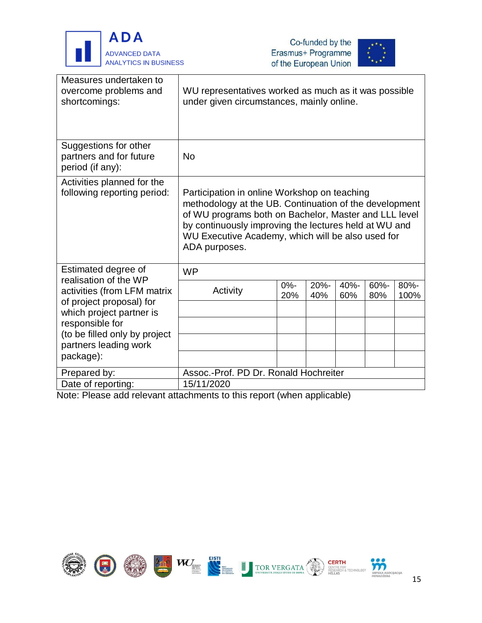

.<br>F





| Measures undertaken to<br>overcome problems and<br>shortcomings:     | WU representatives worked as much as it was possible<br>under given circumstances, mainly online.                                                                                                                                                                                              |               |             |             |             |              |
|----------------------------------------------------------------------|------------------------------------------------------------------------------------------------------------------------------------------------------------------------------------------------------------------------------------------------------------------------------------------------|---------------|-------------|-------------|-------------|--------------|
| Suggestions for other<br>partners and for future<br>period (if any): | <b>No</b>                                                                                                                                                                                                                                                                                      |               |             |             |             |              |
| Activities planned for the<br>following reporting period:            | Participation in online Workshop on teaching<br>methodology at the UB. Continuation of the development<br>of WU programs both on Bachelor, Master and LLL level<br>by continuously improving the lectures held at WU and<br>WU Executive Academy, which will be also used for<br>ADA purposes. |               |             |             |             |              |
| Estimated degree of<br>realisation of the WP                         | <b>WP</b>                                                                                                                                                                                                                                                                                      |               |             |             |             |              |
| activities (from LFM matrix<br>of project proposal) for              | Activity                                                                                                                                                                                                                                                                                       | $0% -$<br>20% | 20%-<br>40% | 40%-<br>60% | 60%-<br>80% | 80%-<br>100% |
| which project partner is<br>responsible for                          |                                                                                                                                                                                                                                                                                                |               |             |             |             |              |
| (to be filled only by project<br>partners leading work               |                                                                                                                                                                                                                                                                                                |               |             |             |             |              |
| package):                                                            |                                                                                                                                                                                                                                                                                                |               |             |             |             |              |
| Prepared by:                                                         | Assoc.-Prof. PD Dr. Ronald Hochreiter                                                                                                                                                                                                                                                          |               |             |             |             |              |
| Date of reporting:                                                   | 15/11/2020                                                                                                                                                                                                                                                                                     |               |             |             |             |              |

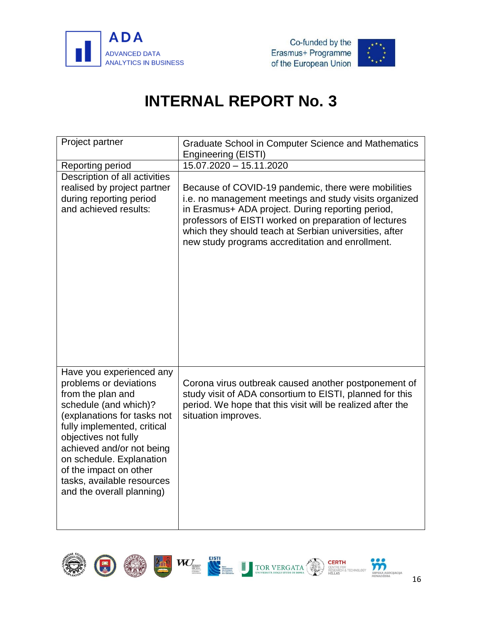



<span id="page-18-0"></span>

| Project partner                                                                                                                                                                                                                                                                                                                      | Graduate School in Computer Science and Mathematics<br>Engineering (EISTI)                                                                                                                                                                                                                                                                |
|--------------------------------------------------------------------------------------------------------------------------------------------------------------------------------------------------------------------------------------------------------------------------------------------------------------------------------------|-------------------------------------------------------------------------------------------------------------------------------------------------------------------------------------------------------------------------------------------------------------------------------------------------------------------------------------------|
| Reporting period                                                                                                                                                                                                                                                                                                                     | $15.07.2020 - 15.11.2020$                                                                                                                                                                                                                                                                                                                 |
| Description of all activities<br>realised by project partner<br>during reporting period<br>and achieved results:                                                                                                                                                                                                                     | Because of COVID-19 pandemic, there were mobilities<br>i.e. no management meetings and study visits organized<br>in Erasmus+ ADA project. During reporting period,<br>professors of EISTI worked on preparation of lectures<br>which they should teach at Serbian universities, after<br>new study programs accreditation and enrollment. |
| Have you experienced any<br>problems or deviations<br>from the plan and<br>schedule (and which)?<br>(explanations for tasks not<br>fully implemented, critical<br>objectives not fully<br>achieved and/or not being<br>on schedule. Explanation<br>of the impact on other<br>tasks, available resources<br>and the overall planning) | Corona virus outbreak caused another postponement of<br>study visit of ADA consortium to EISTI, planned for this<br>period. We hope that this visit will be realized after the<br>situation improves.                                                                                                                                     |

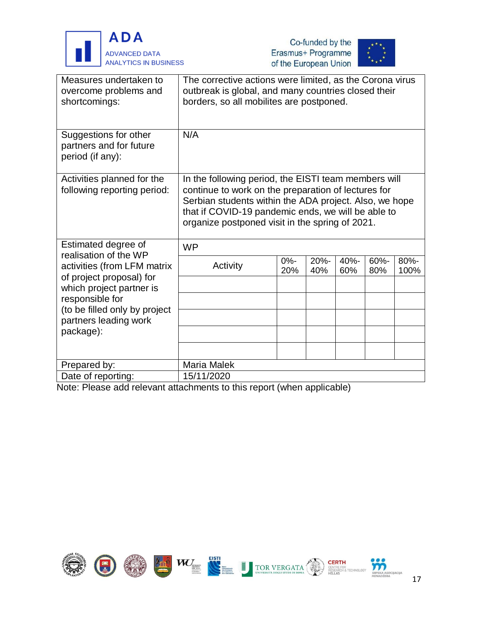





| Measures undertaken to<br>overcome problems and<br>shortcomings:     | The corrective actions were limited, as the Corona virus<br>outbreak is global, and many countries closed their<br>borders, so all mobilites are postponed.                                                                                                                    |               |             |             |             |              |
|----------------------------------------------------------------------|--------------------------------------------------------------------------------------------------------------------------------------------------------------------------------------------------------------------------------------------------------------------------------|---------------|-------------|-------------|-------------|--------------|
| Suggestions for other<br>partners and for future<br>period (if any): | N/A                                                                                                                                                                                                                                                                            |               |             |             |             |              |
| Activities planned for the<br>following reporting period:            | In the following period, the EISTI team members will<br>continue to work on the preparation of lectures for<br>Serbian students within the ADA project. Also, we hope<br>that if COVID-19 pandemic ends, we will be able to<br>organize postponed visit in the spring of 2021. |               |             |             |             |              |
| Estimated degree of<br>realisation of the WP                         | <b>WP</b>                                                                                                                                                                                                                                                                      |               |             |             |             |              |
| activities (from LFM matrix                                          | Activity                                                                                                                                                                                                                                                                       | $0% -$<br>20% | 20%-<br>40% | 40%-<br>60% | 60%-<br>80% | 80%-<br>100% |
| of project proposal) for<br>which project partner is                 |                                                                                                                                                                                                                                                                                |               |             |             |             |              |
| responsible for<br>(to be filled only by project                     |                                                                                                                                                                                                                                                                                |               |             |             |             |              |
| partners leading work                                                |                                                                                                                                                                                                                                                                                |               |             |             |             |              |
| package):                                                            |                                                                                                                                                                                                                                                                                |               |             |             |             |              |
|                                                                      |                                                                                                                                                                                                                                                                                |               |             |             |             |              |
| Prepared by:                                                         | Maria Malek                                                                                                                                                                                                                                                                    |               |             |             |             |              |
| Date of reporting:                                                   | 15/11/2020                                                                                                                                                                                                                                                                     |               |             |             |             |              |

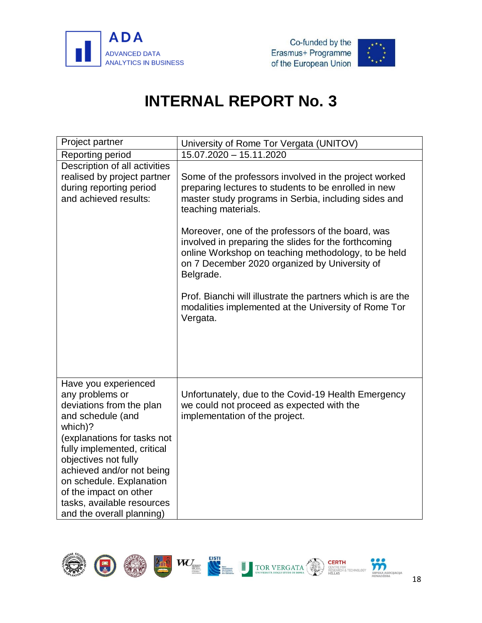





<span id="page-20-0"></span>

| Project partner                                                                                                                                                                                                                                                                                                                         | University of Rome Tor Vergata (UNITOV)                                                                                                                                                                                        |
|-----------------------------------------------------------------------------------------------------------------------------------------------------------------------------------------------------------------------------------------------------------------------------------------------------------------------------------------|--------------------------------------------------------------------------------------------------------------------------------------------------------------------------------------------------------------------------------|
| Reporting period                                                                                                                                                                                                                                                                                                                        | 15.07.2020 - 15.11.2020                                                                                                                                                                                                        |
| Description of all activities<br>realised by project partner<br>during reporting period<br>and achieved results:                                                                                                                                                                                                                        | Some of the professors involved in the project worked<br>preparing lectures to students to be enrolled in new<br>master study programs in Serbia, including sides and<br>teaching materials.                                   |
|                                                                                                                                                                                                                                                                                                                                         | Moreover, one of the professors of the board, was<br>involved in preparing the slides for the forthcoming<br>online Workshop on teaching methodology, to be held<br>on 7 December 2020 organized by University of<br>Belgrade. |
|                                                                                                                                                                                                                                                                                                                                         | Prof. Bianchi will illustrate the partners which is are the<br>modalities implemented at the University of Rome Tor<br>Vergata.                                                                                                |
| Have you experienced<br>any problems or<br>deviations from the plan<br>and schedule (and<br>which)?<br>(explanations for tasks not<br>fully implemented, critical<br>objectives not fully<br>achieved and/or not being<br>on schedule. Explanation<br>of the impact on other<br>tasks, available resources<br>and the overall planning) | Unfortunately, due to the Covid-19 Health Emergency<br>we could not proceed as expected with the<br>implementation of the project.                                                                                             |

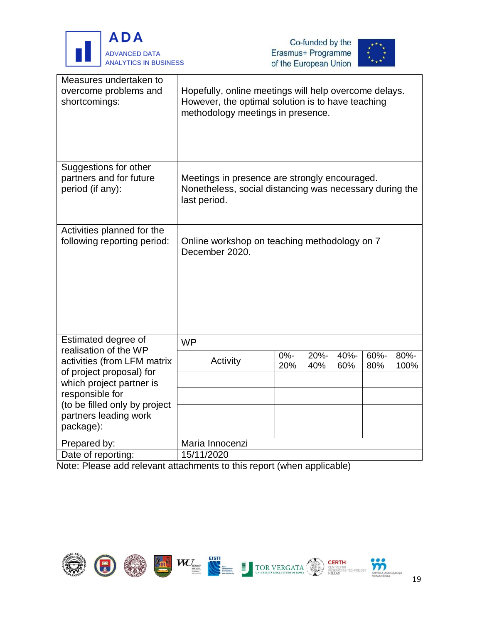





| Measures undertaken to<br>overcome problems and<br>shortcomings:                                       | Hopefully, online meetings will help overcome delays.<br>However, the optimal solution is to have teaching<br>methodology meetings in presence. |               |                |             |             |                 |
|--------------------------------------------------------------------------------------------------------|-------------------------------------------------------------------------------------------------------------------------------------------------|---------------|----------------|-------------|-------------|-----------------|
| Suggestions for other<br>partners and for future<br>period (if any):                                   | Meetings in presence are strongly encouraged.<br>Nonetheless, social distancing was necessary during the<br>last period.                        |               |                |             |             |                 |
| Activities planned for the<br>following reporting period:                                              | Online workshop on teaching methodology on 7<br>December 2020.                                                                                  |               |                |             |             |                 |
| Estimated degree of<br>realisation of the WP                                                           | <b>WP</b>                                                                                                                                       |               |                |             |             |                 |
| activities (from LFM matrix<br>of project proposal) for<br>which project partner is<br>responsible for | Activity                                                                                                                                        | $0% -$<br>20% | $20% -$<br>40% | 40%-<br>60% | 60%-<br>80% | $80% -$<br>100% |
| (to be filled only by project<br>partners leading work                                                 |                                                                                                                                                 |               |                |             |             |                 |
| package):                                                                                              |                                                                                                                                                 |               |                |             |             |                 |
| Prepared by:                                                                                           | Maria Innocenzi                                                                                                                                 |               |                |             |             |                 |
| Date of reporting:                                                                                     | 15/11/2020                                                                                                                                      |               |                |             |             |                 |

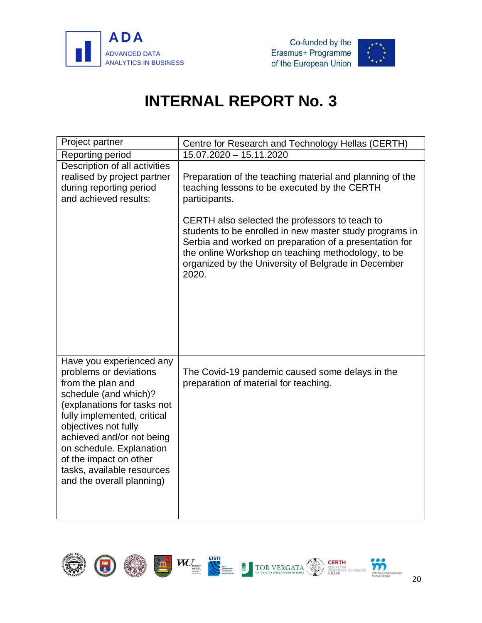



<span id="page-22-0"></span>

| Project partner                                                                                                                                                                                                                                                                                                                      | Centre for Research and Technology Hellas (CERTH)                                                                                                                                                                                                                                         |
|--------------------------------------------------------------------------------------------------------------------------------------------------------------------------------------------------------------------------------------------------------------------------------------------------------------------------------------|-------------------------------------------------------------------------------------------------------------------------------------------------------------------------------------------------------------------------------------------------------------------------------------------|
| Reporting period                                                                                                                                                                                                                                                                                                                     | 15.07.2020 - 15.11.2020                                                                                                                                                                                                                                                                   |
| Description of all activities<br>realised by project partner<br>during reporting period<br>and achieved results:                                                                                                                                                                                                                     | Preparation of the teaching material and planning of the<br>teaching lessons to be executed by the CERTH<br>participants.                                                                                                                                                                 |
|                                                                                                                                                                                                                                                                                                                                      | CERTH also selected the professors to teach to<br>students to be enrolled in new master study programs in<br>Serbia and worked on preparation of a presentation for<br>the online Workshop on teaching methodology, to be<br>organized by the University of Belgrade in December<br>2020. |
| Have you experienced any<br>problems or deviations<br>from the plan and<br>schedule (and which)?<br>(explanations for tasks not<br>fully implemented, critical<br>objectives not fully<br>achieved and/or not being<br>on schedule. Explanation<br>of the impact on other<br>tasks, available resources<br>and the overall planning) | The Covid-19 pandemic caused some delays in the<br>preparation of material for teaching.                                                                                                                                                                                                  |

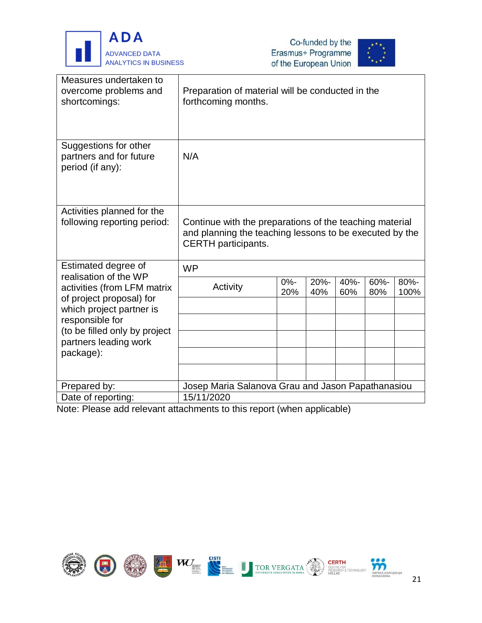





| Measures undertaken to<br>overcome problems and<br>shortcomings:                                             | Preparation of material will be conducted in the<br>forthcoming months.                                                                          |               |             |             |                |              |
|--------------------------------------------------------------------------------------------------------------|--------------------------------------------------------------------------------------------------------------------------------------------------|---------------|-------------|-------------|----------------|--------------|
| Suggestions for other<br>partners and for future<br>period (if any):                                         | N/A                                                                                                                                              |               |             |             |                |              |
| Activities planned for the<br>following reporting period:                                                    | Continue with the preparations of the teaching material<br>and planning the teaching lessons to be executed by the<br><b>CERTH</b> participants. |               |             |             |                |              |
| Estimated degree of                                                                                          | <b>WP</b>                                                                                                                                        |               |             |             |                |              |
| realisation of the WP<br>activities (from LFM matrix<br>of project proposal) for<br>which project partner is | Activity                                                                                                                                         | $0% -$<br>20% | 20%-<br>40% | 40%-<br>60% | $60% -$<br>80% | 80%-<br>100% |
| responsible for<br>(to be filled only by project                                                             |                                                                                                                                                  |               |             |             |                |              |
| partners leading work                                                                                        |                                                                                                                                                  |               |             |             |                |              |
| package):                                                                                                    |                                                                                                                                                  |               |             |             |                |              |
|                                                                                                              |                                                                                                                                                  |               |             |             |                |              |
| Prepared by:                                                                                                 | Josep Maria Salanova Grau and Jason Papathanasiou                                                                                                |               |             |             |                |              |
| Date of reporting:                                                                                           | 15/11/2020                                                                                                                                       |               |             |             |                |              |

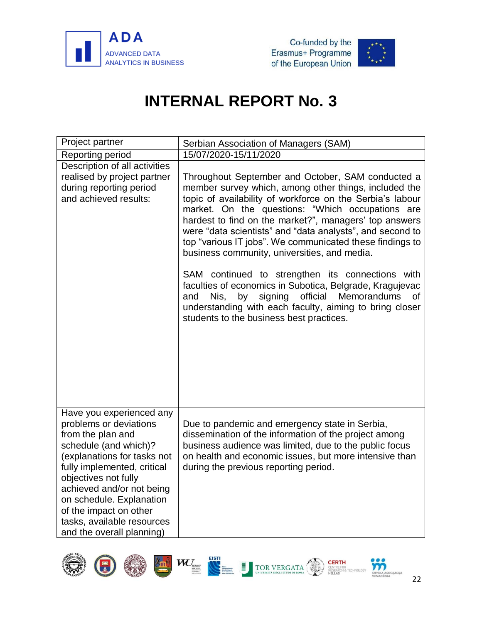





<span id="page-24-0"></span>

| Project partner                                                                                                                                                                                                                                                                                                                      | Serbian Association of Managers (SAM)                                                                                                                                                                                                                                                                                                                                                                                                                                                                              |
|--------------------------------------------------------------------------------------------------------------------------------------------------------------------------------------------------------------------------------------------------------------------------------------------------------------------------------------|--------------------------------------------------------------------------------------------------------------------------------------------------------------------------------------------------------------------------------------------------------------------------------------------------------------------------------------------------------------------------------------------------------------------------------------------------------------------------------------------------------------------|
| Reporting period                                                                                                                                                                                                                                                                                                                     | 15/07/2020-15/11/2020                                                                                                                                                                                                                                                                                                                                                                                                                                                                                              |
| Description of all activities                                                                                                                                                                                                                                                                                                        |                                                                                                                                                                                                                                                                                                                                                                                                                                                                                                                    |
| realised by project partner<br>during reporting period<br>and achieved results:                                                                                                                                                                                                                                                      | Throughout September and October, SAM conducted a<br>member survey which, among other things, included the<br>topic of availability of workforce on the Serbia's labour<br>market. On the questions: "Which occupations are<br>hardest to find on the market?", managers' top answers<br>were "data scientists" and "data analysts", and second to<br>top "various IT jobs". We communicated these findings to<br>business community, universities, and media.<br>SAM continued to strengthen its connections with |
|                                                                                                                                                                                                                                                                                                                                      | faculties of economics in Subotica, Belgrade, Kragujevac<br>signing official<br>Memorandums<br>Nis,<br>by<br><b>of</b><br>and<br>understanding with each faculty, aiming to bring closer<br>students to the business best practices.                                                                                                                                                                                                                                                                               |
| Have you experienced any<br>problems or deviations<br>from the plan and<br>schedule (and which)?<br>(explanations for tasks not<br>fully implemented, critical<br>objectives not fully<br>achieved and/or not being<br>on schedule. Explanation<br>of the impact on other<br>tasks, available resources<br>and the overall planning) | Due to pandemic and emergency state in Serbia,<br>dissemination of the information of the project among<br>business audience was limited, due to the public focus<br>on health and economic issues, but more intensive than<br>during the previous reporting period.                                                                                                                                                                                                                                               |